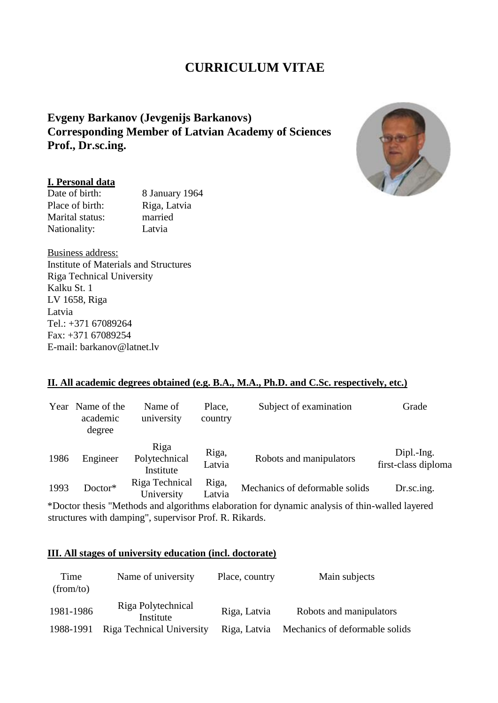# **CURRICULUM VITAE**

## **Evgeny Barkanov (Jevgenijs Barkanovs) Corresponding Member of Latvian Academy of Sciences Prof., Dr.sc.ing.**

#### **I. Personal data**

Date of birth: 8 January 1964 Place of birth: Riga, Latvia<br>Marital status: married Marital status: Nationality: Latvia

Business address: Institute of Materials and Structures Riga Technical University Kalku St. 1 LV 1658, Riga Latvia Tel.: +371 67089264 Fax: +371 67089254 E-mail: barkanov@latnet.lv

#### **II. All academic degrees obtained (e.g. B.A., M.A., Ph.D. and C.Sc. respectively, etc.)**

| Year | Name of the<br>academic<br>degree | Name of<br>university              | Place,<br>country | Subject of examination         | Grade                             |
|------|-----------------------------------|------------------------------------|-------------------|--------------------------------|-----------------------------------|
| 1986 | Engineer                          | Riga<br>Polytechnical<br>Institute | Riga,<br>Latvia   | Robots and manipulators        | Dipl.-Ing.<br>first-class diploma |
| 1993 | Doctor*                           | Riga Technical<br>University       | Riga,<br>Latvia   | Mechanics of deformable solids | Dr.sc.ing.                        |

\*Doctor thesis "Methods and algorithms elaboration for dynamic analysis of thin-walled layered structures with damping", supervisor Prof. R. Rikards.

#### **III. All stages of university education (incl. doctorate)**

| Time<br>(from/to) | Name of university              | Place, country | Main subjects                  |
|-------------------|---------------------------------|----------------|--------------------------------|
| 1981-1986         | Riga Polytechnical<br>Institute | Riga, Latvia   | Robots and manipulators        |
| 1988-1991         | Riga Technical University       | Riga, Latvia   | Mechanics of deformable solids |

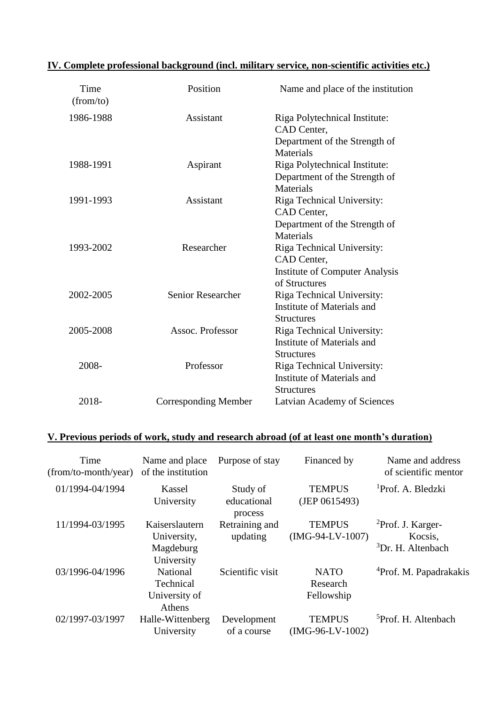|  |  |  | IV. Complete professional background (incl. military service, non-scientific activities etc.) |  |
|--|--|--|-----------------------------------------------------------------------------------------------|--|
|  |  |  |                                                                                               |  |

| Time<br>(from/to) | Position                    | Name and place of the institution                      |
|-------------------|-----------------------------|--------------------------------------------------------|
| 1986-1988         | Assistant                   | Riga Polytechnical Institute:<br>CAD Center,           |
|                   |                             | Department of the Strength of                          |
| 1988-1991         | Aspirant                    | Materials<br>Riga Polytechnical Institute:             |
|                   |                             | Department of the Strength of                          |
|                   |                             | Materials                                              |
| 1991-1993         | Assistant                   | Riga Technical University:                             |
|                   |                             | CAD Center,                                            |
|                   |                             | Department of the Strength of                          |
|                   |                             | Materials                                              |
| 1993-2002         | Researcher                  | Riga Technical University:                             |
|                   |                             | CAD Center,                                            |
|                   |                             | <b>Institute of Computer Analysis</b><br>of Structures |
| 2002-2005         | <b>Senior Researcher</b>    | Riga Technical University:                             |
|                   |                             | Institute of Materials and                             |
|                   |                             | <b>Structures</b>                                      |
| 2005-2008         | Assoc. Professor            | Riga Technical University:                             |
|                   |                             | Institute of Materials and                             |
|                   |                             | <b>Structures</b>                                      |
| 2008-             | Professor                   | Riga Technical University:                             |
|                   |                             | Institute of Materials and                             |
|                   |                             | <b>Structures</b>                                      |
| 2018-             | <b>Corresponding Member</b> | Latvian Academy of Sciences                            |

# **V. Previous periods of work, study and research abroad (of at least one month's duration)**

| Time<br>(from/to-month/year) | Name and place<br>of the institution                     | Purpose of stay                    | Financed by                           | Name and address<br>of scientific mentor                          |
|------------------------------|----------------------------------------------------------|------------------------------------|---------------------------------------|-------------------------------------------------------------------|
| 01/1994-04/1994              | Kassel<br>University                                     | Study of<br>educational<br>process | <b>TEMPUS</b><br>(JEP 0615493)        | <sup>1</sup> Prof. A. Bledzki                                     |
| 11/1994-03/1995              | Kaiserslautern<br>University,<br>Magdeburg<br>University | Retraining and<br>updating         | <b>TEMPUS</b><br>$(MG-94-LV-1007)$    | ${}^{2}$ Prof. J. Karger-<br>Kocsis,<br>${}^{3}Dr$ , H. Altenbach |
| 03/1996-04/1996              | National<br>Technical<br>University of<br>Athens         | Scientific visit                   | <b>NATO</b><br>Research<br>Fellowship | <sup>4</sup> Prof. M. Papadrakakis                                |
| 02/1997-03/1997              | Halle-Wittenberg<br>University                           | Development<br>of a course         | <b>TEMPUS</b><br>$(MG-96-LV-1002)$    | <sup>5</sup> Prof. H. Altenbach                                   |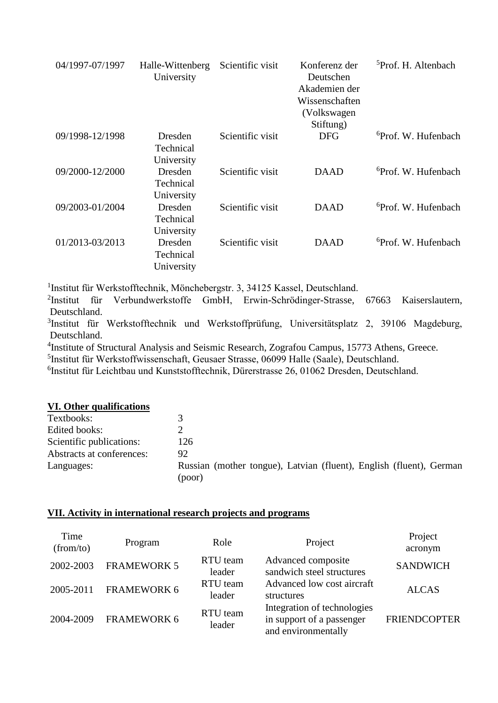| 04/1997-07/1997 | Halle-Wittenberg<br>University     | Scientific visit | Konferenz der<br>Deutschen<br>Akademien der<br>Wissenschaften<br>(Volkswagen)<br>Stiftung) | <sup>5</sup> Prof. H. Altenbach |
|-----------------|------------------------------------|------------------|--------------------------------------------------------------------------------------------|---------------------------------|
| 09/1998-12/1998 | Dresden<br>Technical<br>University | Scientific visit | <b>DFG</b>                                                                                 | <sup>6</sup> Prof. W. Hufenbach |
| 09/2000-12/2000 | Dresden<br>Technical<br>University | Scientific visit | <b>DAAD</b>                                                                                | <sup>6</sup> Prof. W. Hufenbach |
| 09/2003-01/2004 | Dresden<br>Technical<br>University | Scientific visit | <b>DAAD</b>                                                                                | <sup>6</sup> Prof. W. Hufenbach |
| 01/2013-03/2013 | Dresden<br>Technical<br>University | Scientific visit | <b>DAAD</b>                                                                                | <sup>6</sup> Prof. W. Hufenbach |

1 Institut für Werkstofftechnik, Mönchebergstr. 3, 34125 Kassel, Deutschland.

<sup>2</sup>Institut für Verbundwerkstoffe GmbH, Erwin-Schrödinger-Strasse, 67663 Kaiserslautern, Deutschland.

<sup>3</sup>Institut für Werkstofftechnik und Werkstoffprüfung, Universitätsplatz 2, 39106 Magdeburg, Deutschland.

<sup>4</sup>Institute of Structural Analysis and Seismic Research, Zografou Campus, 15773 Athens, Greece.

5 Institut für Werkstoffwissenschaft, Geusaer Strasse, 06099 Halle (Saale), Deutschland.

6 Institut für Leichtbau und Kunststofftechnik, Dürerstrasse 26, 01062 Dresden, Deutschland.

#### **VI. Other qualifications**

| Textbooks:                |                                                                               |
|---------------------------|-------------------------------------------------------------------------------|
| Edited books:             |                                                                               |
| Scientific publications:  | 126                                                                           |
| Abstracts at conferences: | 92                                                                            |
| Languages:                | Russian (mother tongue), Latvian (fluent), English (fluent), German<br>(poor) |

#### **VII. Activity in international research projects and programs**

| Time<br>(from/to) | Program            | Role               | Project                                                                         | Project<br>acronym  |
|-------------------|--------------------|--------------------|---------------------------------------------------------------------------------|---------------------|
| 2002-2003         | <b>FRAMEWORK 5</b> | RTU team<br>leader | Advanced composite<br>sandwich steel structures                                 | <b>SANDWICH</b>     |
| 2005-2011         | <b>FRAMEWORK 6</b> | RTU team<br>leader | Advanced low cost aircraft<br>structures                                        | <b>ALCAS</b>        |
| 2004-2009         | <b>FRAMEWORK 6</b> | RTU team<br>leader | Integration of technologies<br>in support of a passenger<br>and environmentally | <b>FRIENDCOPTER</b> |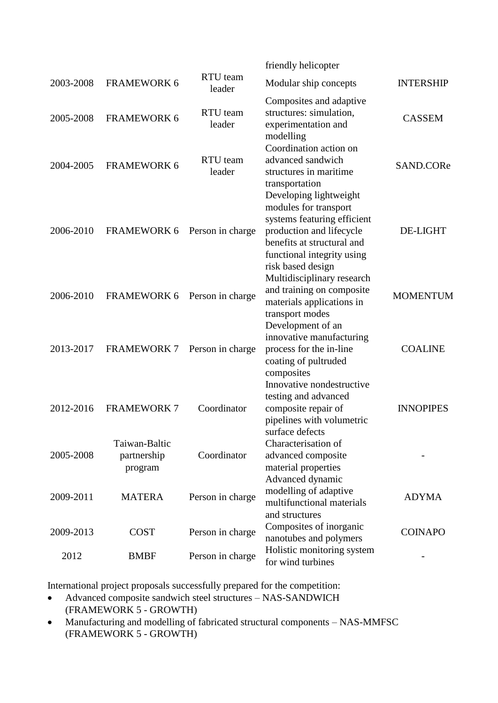|           |                                         |                    | friendly helicopter                                                                                                                                                                         |                  |
|-----------|-----------------------------------------|--------------------|---------------------------------------------------------------------------------------------------------------------------------------------------------------------------------------------|------------------|
| 2003-2008 | <b>FRAMEWORK 6</b>                      | RTU team<br>leader | Modular ship concepts                                                                                                                                                                       | <b>INTERSHIP</b> |
| 2005-2008 | <b>FRAMEWORK 6</b>                      | RTU team<br>leader | Composites and adaptive<br>structures: simulation,<br>experimentation and<br>modelling                                                                                                      | <b>CASSEM</b>    |
| 2004-2005 | <b>FRAMEWORK 6</b>                      | RTU team<br>leader | Coordination action on<br>advanced sandwich<br>structures in maritime<br>transportation                                                                                                     | SAND.CORe        |
| 2006-2010 | FRAMEWORK 6                             | Person in charge   | Developing lightweight<br>modules for transport<br>systems featuring efficient<br>production and lifecycle<br>benefits at structural and<br>functional integrity using<br>risk based design | <b>DE-LIGHT</b>  |
| 2006-2010 | <b>FRAMEWORK 6</b>                      | Person in charge   | Multidisciplinary research<br>and training on composite<br>materials applications in<br>transport modes                                                                                     | <b>MOMENTUM</b>  |
| 2013-2017 | <b>FRAMEWORK 7</b>                      | Person in charge   | Development of an<br>innovative manufacturing<br>process for the in-line<br>coating of pultruded<br>composites                                                                              | <b>COALINE</b>   |
| 2012-2016 | <b>FRAMEWORK 7</b>                      | Coordinator        | Innovative nondestructive<br>testing and advanced<br>composite repair of<br>pipelines with volumetric<br>surface defects                                                                    | <b>INNOPIPES</b> |
| 2005-2008 | Taiwan-Baltic<br>partnership<br>program | Coordinator        | Characterisation of<br>advanced composite<br>material properties<br>Advanced dynamic                                                                                                        |                  |
| 2009-2011 | <b>MATERA</b>                           | Person in charge   | modelling of adaptive<br>multifunctional materials                                                                                                                                          | <b>ADYMA</b>     |
| 2009-2013 | <b>COST</b>                             | Person in charge   | and structures<br>Composites of inorganic<br>nanotubes and polymers                                                                                                                         | <b>COINAPO</b>   |
| 2012      | <b>BMBF</b>                             | Person in charge   | Holistic monitoring system<br>for wind turbines                                                                                                                                             |                  |

International project proposals successfully prepared for the competition:

- Advanced composite sandwich steel structures NAS-SANDWICH (FRAMEWORK 5 - GROWTH)
- Manufacturing and modelling of fabricated structural components NAS-MMFSC (FRAMEWORK 5 - GROWTH)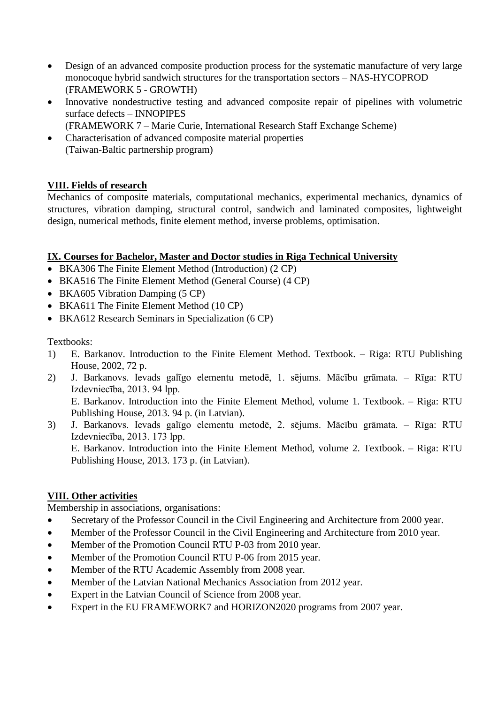- Design of an advanced composite production process for the systematic manufacture of very large monocoque hybrid sandwich structures for the transportation sectors – NAS-HYCOPROD (FRAMEWORK 5 - GROWTH)
- Innovative nondestructive testing and advanced composite repair of pipelines with volumetric surface defects – INNOPIPES (FRAMEWORK 7 – Marie Curie, International Research Staff Exchange Scheme)
- Characterisation of advanced composite material properties (Taiwan-Baltic partnership program)

## **VIII. Fields of research**

Mechanics of composite materials, computational mechanics, experimental mechanics, dynamics of structures, vibration damping, structural control, sandwich and laminated composites, lightweight design, numerical methods, finite element method, inverse problems, optimisation.

## **IX. Courses for Bachelor, Master and Doctor studies in Riga Technical University**

- BKA306 The Finite Element Method (Introduction) (2 CP)
- BKA516 The Finite Element Method (General Course) (4 CP)
- BKA605 Vibration Damping (5 CP)
- BKA611 The Finite Element Method (10 CP)
- BKA612 Research Seminars in Specialization (6 CP)

Textbooks:

- 1) E. Barkanov. Introduction to the Finite Element Method. Textbook. Riga: RTU Publishing House, 2002, 72 p.
- 2) J. Barkanovs. Ievads galīgo elementu metodē, 1. sējums. Mācību grāmata. Rīga: RTU Izdevniecība, 2013. 94 lpp. E. Barkanov. Introduction into the Finite Element Method, volume 1. Textbook. – Riga: RTU Publishing House, 2013. 94 p. (in Latvian).
- 3) J. Barkanovs. Ievads galīgo elementu metodē, 2. sējums. Mācību grāmata. Rīga: RTU Izdevniecība, 2013. 173 lpp. E. Barkanov. Introduction into the Finite Element Method, volume 2. Textbook. – Riga: RTU Publishing House, 2013. 173 p. (in Latvian).

## **VIII. Other activities**

Membership in associations, organisations:

- Secretary of the Professor Council in the Civil Engineering and Architecture from 2000 year.
- Member of the Professor Council in the Civil Engineering and Architecture from 2010 year.
- Member of the Promotion Council RTU P-03 from 2010 year.
- Member of the Promotion Council RTU P-06 from 2015 year.
- Member of the RTU Academic Assembly from 2008 year.
- Member of the Latvian National Mechanics Association from 2012 year.
- Expert in the Latvian Council of Science from 2008 year.
- Expert in the EU FRAMEWORK7 and HORIZON2020 programs from 2007 year.